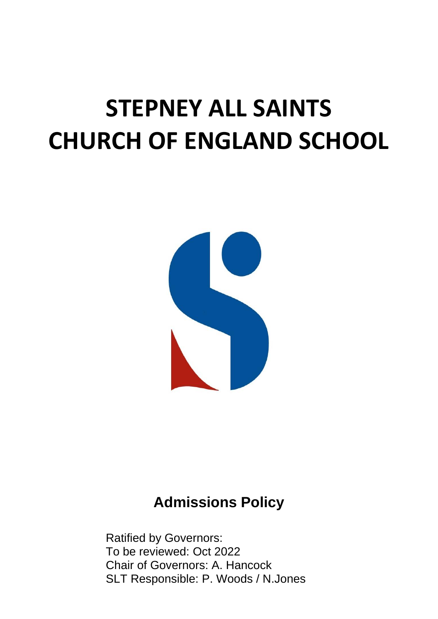# **STEPNEY ALL SAINTS CHURCH OF ENGLAND SCHOOL**



# **Admissions Policy**

Ratified by Governors: To be reviewed: Oct 2022 Chair of Governors: A. Hancock SLT Responsible: P. Woods / N.Jones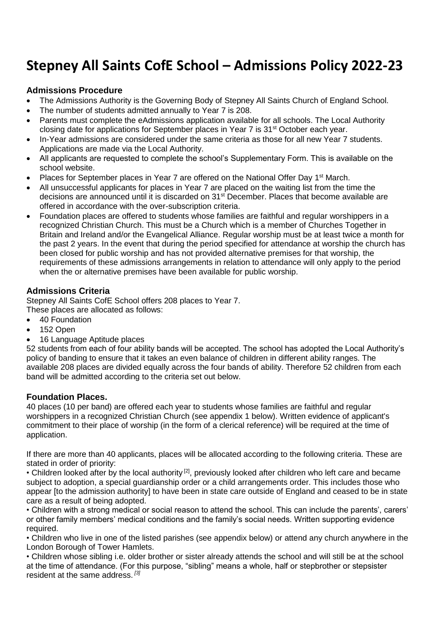# **Stepney All Saints CofE School – Admissions Policy 2022-23**

## **Admissions Procedure**

- The Admissions Authority is the Governing Body of Stepney All Saints Church of England School.
- The number of students admitted annually to Year 7 is 208.
- Parents must complete the eAdmissions application available for all schools. The Local Authority closing date for applications for September places in Year 7 is  $31<sup>st</sup>$  October each year.
- In-Year admissions are considered under the same criteria as those for all new Year 7 students. Applications are made via the Local Authority.
- All applicants are requested to complete the school's Supplementary Form. This is available on the school website.
- Places for September places in Year 7 are offered on the National Offer Day 1<sup>st</sup> March.
- All unsuccessful applicants for places in Year 7 are placed on the waiting list from the time the decisions are announced until it is discarded on 31st December. Places that become available are offered in accordance with the over-subscription criteria.
- Foundation places are offered to students whose families are faithful and regular worshippers in a recognized Christian Church. This must be a Church which is a member of Churches Together in Britain and Ireland and/or the Evangelical Alliance. Regular worship must be at least twice a month for the past 2 years. In the event that during the period specified for attendance at worship the church has been closed for public worship and has not provided alternative premises for that worship, the requirements of these admissions arrangements in relation to attendance will only apply to the period when the or alternative premises have been available for public worship.

# **Admissions Criteria**

Stepney All Saints CofE School offers 208 places to Year 7. These places are allocated as follows:

- 40 Foundation
- 152 Open
- 16 Language Aptitude places

52 students from each of four ability bands will be accepted. The school has adopted the Local Authority's policy of banding to ensure that it takes an even balance of children in different ability ranges. The available 208 places are divided equally across the four bands of ability. Therefore 52 children from each band will be admitted according to the criteria set out below.

## **Foundation Places.**

40 places (10 per band) are offered each year to students whose families are faithful and regular worshippers in a recognized Christian Church (see appendix 1 below). Written evidence of applicant's commitment to their place of worship (in the form of a clerical reference) will be required at the time of application.

If there are more than 40 applicants, places will be allocated according to the following criteria. These are stated in order of priority:

• Children looked after by the local authority<sup>[2]</sup>, previously looked after children who left care and became subject to adoption, a special guardianship order or a child arrangements order. This includes those who appear [to the admission authority] to have been in state care outside of England and ceased to be in state care as a result of being adopted.

• Children with a strong medical or social reason to attend the school. This can include the parents', carers' or other family members' medical conditions and the family's social needs. Written supporting evidence required.

• Children who live in one of the listed parishes (see appendix below) or attend any church anywhere in the London Borough of Tower Hamlets.

• Children whose sibling i.e. older brother or sister already attends the school and will still be at the school at the time of attendance. (For this purpose, "sibling" means a whole, half or stepbrother or stepsister resident at the same address. *[3]*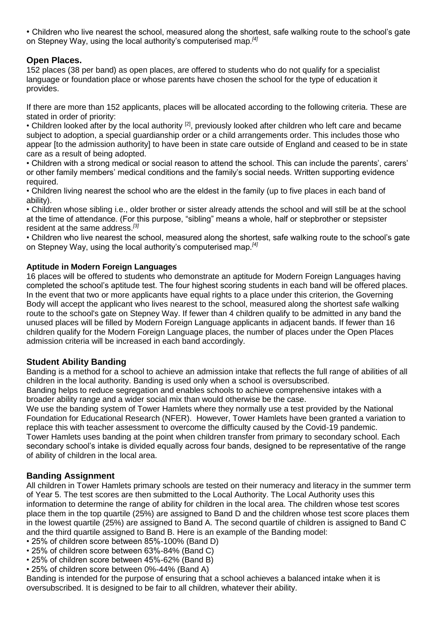• Children who live nearest the school, measured along the shortest, safe walking route to the school's gate on Stepney Way, using the local authority's computerised map.*[4]*

## **Open Places.**

152 places (38 per band) as open places, are offered to students who do not qualify for a specialist language or foundation place or whose parents have chosen the school for the type of education it provides.

If there are more than 152 applicants, places will be allocated according to the following criteria. These are stated in order of priority:

• Children looked after by the local authority <sup>[2]</sup>, previously looked after children who left care and became subject to adoption, a special guardianship order or a child arrangements order. This includes those who appear [to the admission authority] to have been in state care outside of England and ceased to be in state care as a result of being adopted.

• Children with a strong medical or social reason to attend the school. This can include the parents', carers' or other family members' medical conditions and the family's social needs. Written supporting evidence required.

• Children living nearest the school who are the eldest in the family (up to five places in each band of ability).

• Children whose sibling i.e., older brother or sister already attends the school and will still be at the school at the time of attendance. (For this purpose, "sibling" means a whole, half or stepbrother or stepsister resident at the same address. *[3]*

• Children who live nearest the school, measured along the shortest, safe walking route to the school's gate on Stepney Way, using the local authority's computerised map.*[4]*

#### **Aptitude in Modern Foreign Languages**

16 places will be offered to students who demonstrate an aptitude for Modern Foreign Languages having completed the school's aptitude test. The four highest scoring students in each band will be offered places. In the event that two or more applicants have equal rights to a place under this criterion, the Governing Body will accept the applicant who lives nearest to the school, measured along the shortest safe walking route to the school's gate on Stepney Way. If fewer than 4 children qualify to be admitted in any band the unused places will be filled by Modern Foreign Language applicants in adjacent bands. If fewer than 16 children qualify for the Modern Foreign Language places, the number of places under the Open Places admission criteria will be increased in each band accordingly.

#### **Student Ability Banding**

Banding is a method for a school to achieve an admission intake that reflects the full range of abilities of all children in the local authority. Banding is used only when a school is oversubscribed.

Banding helps to reduce segregation and enables schools to achieve comprehensive intakes with a broader ability range and a wider social mix than would otherwise be the case.

We use the banding system of Tower Hamlets where they normally use a test provided by the National Foundation for Educational Research (NFER). However, Tower Hamlets have been granted a variation to replace this with teacher assessment to overcome the difficulty caused by the Covid-19 pandemic. Tower Hamlets uses banding at the point when children transfer from primary to secondary school. Each secondary school's intake is divided equally across four bands, designed to be representative of the range of ability of children in the local area.

#### **Banding Assignment**

All children in Tower Hamlets primary schools are tested on their numeracy and literacy in the summer term of Year 5. The test scores are then submitted to the Local Authority. The Local Authority uses this information to determine the range of ability for children in the local area. The children whose test scores place them in the top quartile (25%) are assigned to Band D and the children whose test score places them in the lowest quartile (25%) are assigned to Band A. The second quartile of children is assigned to Band C and the third quartile assigned to Band B. Here is an example of the Banding model:

- 25% of children score between 85%-100% (Band D)
- 25% of children score between 63%-84% (Band C)
- 25% of children score between 45%-62% (Band B)
- 25% of children score between 0%-44% (Band A)

Banding is intended for the purpose of ensuring that a school achieves a balanced intake when it is oversubscribed. It is designed to be fair to all children, whatever their ability.